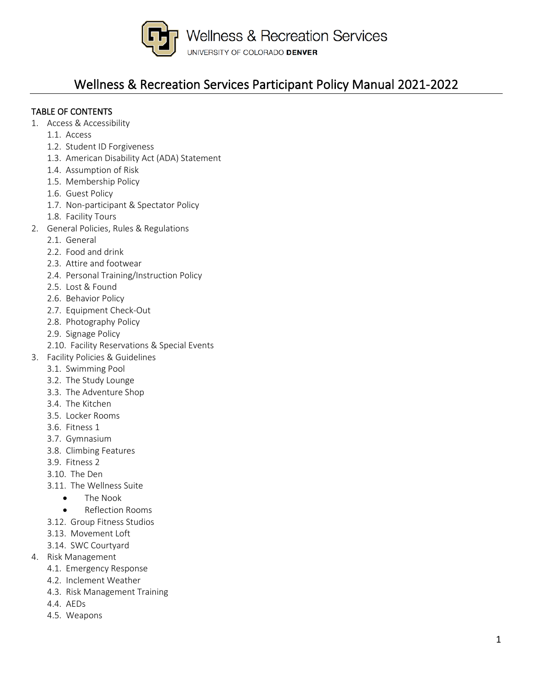

### Wellness & Recreation Services Participant Policy Manual 2021-2022

### TABLE OF CONTENTS

- 1. Access & Accessibility
	- 1.1. Access
	- 1.2. Student ID Forgiveness
	- 1.3. American Disability Act (ADA) Statement
	- 1.4. Assumption of Risk
	- 1.5. Membership Policy
	- 1.6. Guest Policy
	- 1.7. Non-participant & Spectator Policy
	- 1.8. Facility Tours
- 2. General Policies, Rules & Regulations
	- 2.1. General
	- 2.2. Food and drink
	- 2.3. Attire and footwear
	- 2.4. Personal Training/Instruction Policy
	- 2.5. Lost & Found
	- 2.6. Behavior Policy
	- 2.7. Equipment Check-Out
	- 2.8. Photography Policy
	- 2.9. Signage Policy
	- 2.10. Facility Reservations & Special Events
- 3. Facility Policies & Guidelines
	- 3.1. Swimming Pool
		- 3.2. The Study Lounge
		- 3.3. The Adventure Shop
		- 3.4. The Kitchen
		- 3.5. Locker Rooms
		- 3.6. Fitness 1
		- 3.7. Gymnasium
		- 3.8. Climbing Features
		- 3.9. Fitness 2
		- 3.10. The Den
		- 3.11. The Wellness Suite
			- The Nook
			- Reflection Rooms
		- 3.12. Group Fitness Studios
		- 3.13. Movement Loft
		- 3.14. SWC Courtyard
- 4. Risk Management
	- 4.1. Emergency Response
	- 4.2. Inclement Weather
	- 4.3. Risk Management Training
	- 4.4. AEDs
	- 4.5. Weapons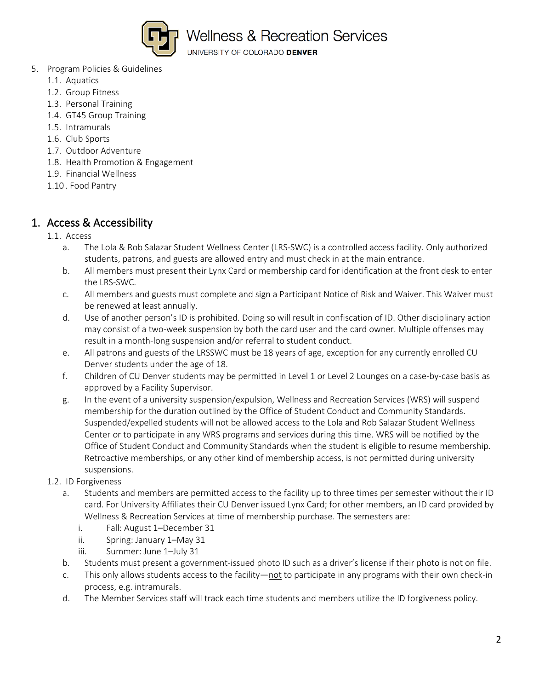

UNIVERSITY OF COLORADO DENVER

- 5. Program Policies & Guidelines
	- 1.1. Aquatics
	- 1.2. Group Fitness
	- 1.3. Personal Training
	- 1.4. GT45 Group Training
	- 1.5. Intramurals
	- 1.6. Club Sports
	- 1.7. Outdoor Adventure
	- 1.8. Health Promotion & Engagement
	- 1.9. Financial Wellness
	- 1.10 . Food Pantry

### 1. Access & Accessibility

#### 1.1. Access

- a. The Lola & Rob Salazar Student Wellness Center (LRS-SWC) is a controlled access facility. Only authorized students, patrons, and guests are allowed entry and must check in at the main entrance.
- b. All members must present their Lynx Card or membership card for identification at the front desk to enter the LRS-SWC.
- c. All members and guests must complete and sign a Participant Notice of Risk and Waiver. This Waiver must be renewed at least annually.
- d. Use of another person's ID is prohibited. Doing so will result in confiscation of ID. Other disciplinary action may consist of a two-week suspension by both the card user and the card owner. Multiple offenses may result in a month-long suspension and/or referral to student conduct.
- e. All patrons and guests of the LRSSWC must be 18 years of age, exception for any currently enrolled CU Denver students under the age of 18.
- f. Children of CU Denver students may be permitted in Level 1 or Level 2 Lounges on a case-by-case basis as approved by a Facility Supervisor.
- g. In the event of a university suspension/expulsion, Wellness and Recreation Services (WRS) will suspend membership for the duration outlined by the Office of Student Conduct and Community Standards. Suspended/expelled students will not be allowed access to the Lola and Rob Salazar Student Wellness Center or to participate in any WRS programs and services during this time. WRS will be notified by the Office of Student Conduct and Community Standards when the student is eligible to resume membership. Retroactive memberships, or any other kind of membership access, is not permitted during university suspensions.
- 1.2. ID Forgiveness
	- a. Students and members are permitted access to the facility up to three times per semester without their ID card. For University Affiliates their CU Denver issued Lynx Card; for other members, an ID card provided by Wellness & Recreation Services at time of membership purchase. The semesters are:
		- i. Fall: August 1–December 31
		- ii. Spring: January 1–May 31
		- iii. Summer: June 1–July 31
	- b. Students must present a government-issued photo ID such as a driver's license if their photo is not on file.
	- c. This only allows students access to the facility—not to participate in any programs with their own check-in process, e.g. intramurals.
	- d. The Member Services staff will track each time students and members utilize the ID forgiveness policy.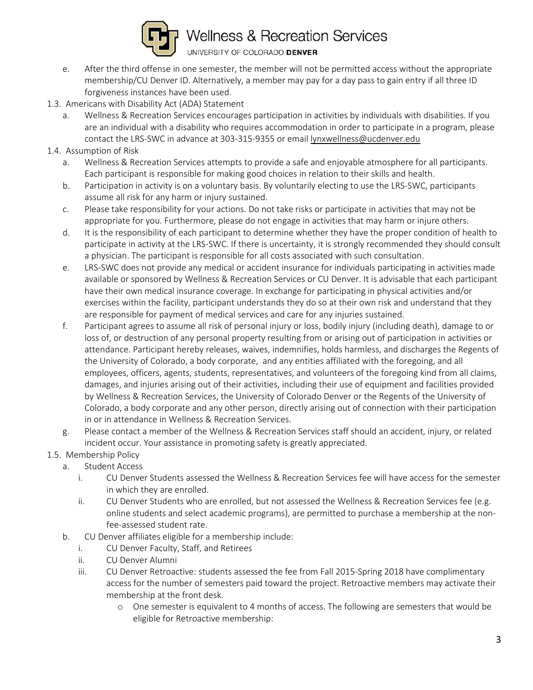

- e. After the third offense in one semester, the member will not be permitted access without the appropriate membership/CU Denver ID. Alternatively, a member may pay for a day pass to gain entry if all three ID forgiveness instances have been used.
- 1.3. Americans with Disability Act (ADA) Statement
	- a. Wellness & Recreation Services encourages participation in activities by individuals with disabilities. If you are an individual with a disability who requires accommodation in order to participate in a program, please contact the LRS-SWC in advance at 303-315-9355 or email [lynxwellness@ucdenver.edu](mailto:lynxwellness@ucdenver.edu)
- 1.4. Assumption of Risk
	- a. Wellness & Recreation Services attempts to provide a safe and enjoyable atmosphere for all participants. Each participant is responsible for making good choices in relation to their skills and health.
	- b. Participation in activity is on a voluntary basis. By voluntarily electing to use the LRS-SWC, participants assume all risk for any harm or injury sustained.
	- c. Please take responsibility for your actions. Do not take risks or participate in activities that may not be appropriate for you. Furthermore, please do not engage in activities that may harm or injure others.
	- d. It is the responsibility of each participant to determine whether they have the proper condition of health to participate in activity at the LRS-SWC. If there is uncertainty, it is strongly recommended they should consult a physician. The participant is responsible for all costs associated with such consultation.
	- e. LRS-SWC does not provide any medical or accident insurance for individuals participating in activities made available or sponsored by Wellness & Recreation Services or CU Denver. It is advisable that each participant have their own medical insurance coverage. In exchange for participating in physical activities and/or exercises within the facility, participant understands they do so at their own risk and understand that they are responsible for payment of medical services and care for any injuries sustained.
	- f. Participant agrees to assume all risk of personal injury or loss, bodily injury (including death), damage to or loss of, or destruction of any personal property resulting from or arising out of participation in activities or attendance. Participant hereby releases, waives, indemnifies, holds harmless, and discharges the Regents of the University of Colorado, a body corporate, and any entities affiliated with the foregoing, and all employees, officers, agents, students, representatives, and volunteers of the foregoing kind from all claims, damages, and injuries arising out of their activities, including their use of equipment and facilities provided by Wellness & Recreation Services, the University of Colorado Denver or the Regents of the University of Colorado, a body corporate and any other person, directly arising out of connection with their participation in or in attendance in Wellness & Recreation Services.
	- g. Please contact a member of the Wellness & Recreation Services staff should an accident, injury, or related incident occur. Your assistance in promoting safety is greatly appreciated.
- 1.5. Membership Policy
	- a. Student Access
		- i. CU Denver Students assessed the Wellness & Recreation Services fee will have access for the semester in which they are enrolled.
		- ii. CU Denver Students who are enrolled, but not assessed the Wellness & Recreation Services fee (e.g. online students and select academic programs), are permitted to purchase a membership at the nonfee-assessed student rate.
	- b. CU Denver affiliates eligible for a membership include:
		- i. CU Denver Faculty, Staff, and Retirees
		- ii. CU Denver Alumni
		- iii. CU Denver Retroactive: students assessed the fee from Fall 2015-Spring 2018 have complimentary access for the number of semesters paid toward the project. Retroactive members may activate their membership at the front desk.
			- o One semester is equivalent to 4 months of access. The following are semesters that would be eligible for Retroactive membership: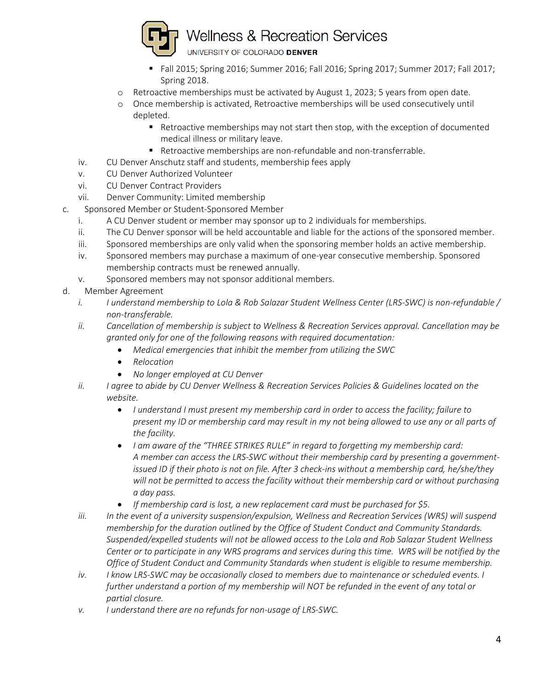

- Fall 2015; Spring 2016; Summer 2016; Fall 2016; Spring 2017; Summer 2017; Fall 2017; Spring 2018.
- o Retroactive memberships must be activated by August 1, 2023; 5 years from open date.
- o Once membership is activated, Retroactive memberships will be used consecutively until depleted.
	- Retroactive memberships may not start then stop, with the exception of documented medical illness or military leave.
	- Retroactive memberships are non-refundable and non-transferrable.
- iv. CU Denver Anschutz staff and students, membership fees apply
- v. CU Denver Authorized Volunteer
- vi. CU Denver Contract Providers
- vii. Denver Community: Limited membership
- c. Sponsored Member or Student-Sponsored Member
	- i. A CU Denver student or member may sponsor up to 2 individuals for memberships.
	- ii. The CU Denver sponsor will be held accountable and liable for the actions of the sponsored member.
	- iii. Sponsored memberships are only valid when the sponsoring member holds an active membership.
	- iv. Sponsored members may purchase a maximum of one-year consecutive membership. Sponsored membership contracts must be renewed annually.
	- v. Sponsored members may not sponsor additional members.
- d. Member Agreement
	- *i. I understand membership to Lola & Rob Salazar Student Wellness Center (LRS-SWC) is non-refundable / non-transferable.*
	- *ii. Cancellation of membership is subject to Wellness & Recreation Services approval. Cancellation may be granted only for one of the following reasons with required documentation:*
		- *Medical emergencies that inhibit the member from utilizing the SWC*
		- *Relocation*
		- *No longer employed at CU Denver*
	- *ii. I agree to abide by CU Denver Wellness & Recreation Services Policies & Guidelines located on the website.*
		- *I understand I must present my membership card in order to access the facility; failure to present my ID or membership card may result in my not being allowed to use any or all parts of the facility.*
		- *I am aware of the "THREE STRIKES RULE" in regard to forgetting my membership card: A member can access the LRS-SWC without their membership card by presenting a governmentissued ID if their photo is not on file. After 3 check-ins without a membership card, he/she/they will not be permitted to access the facility without their membership card or without purchasing a day pass.*
		- *If membership card is lost, a new replacement card must be purchased for \$5.*
	- *iii. In the event of a university suspension/expulsion, Wellness and Recreation Services (WRS) will suspend membership for the duration outlined by the Office of Student Conduct and Community Standards. Suspended/expelled students will not be allowed access to the Lola and Rob Salazar Student Wellness Center or to participate in any WRS programs and services during this time. WRS will be notified by the Office of Student Conduct and Community Standards when student is eligible to resume membership.*
	- *iv. I know LRS-SWC may be occasionally closed to members due to maintenance or scheduled events. I further understand a portion of my membership will NOT be refunded in the event of any total or partial closure.*
	- *v. I understand there are no refunds for non-usage of LRS-SWC.*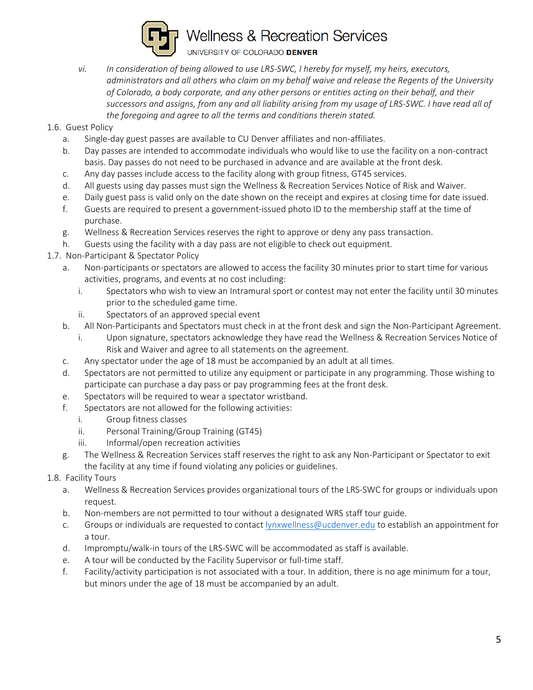

- *vi. In consideration of being allowed to use LRS-SWC, I hereby for myself, my heirs, executors, administrators and all others who claim on my behalf waive and release the Regents of the University of Colorado, a body corporate, and any other persons or entities acting on their behalf, and their successors and assigns, from any and all liability arising from my usage of LRS-SWC. I have read all of the foregoing and agree to all the terms and conditions therein stated.*
- 1.6. Guest Policy
	- a. Single-day guest passes are available to CU Denver affiliates and non-affiliates.
	- b. Day passes are intended to accommodate individuals who would like to use the facility on a non-contract basis. Day passes do not need to be purchased in advance and are available at the front desk.
	- c. Any day passes include access to the facility along with group fitness, GT45 services.
	- d. All guests using day passes must sign the Wellness & Recreation Services Notice of Risk and Waiver.
	- e. Daily guest pass is valid only on the date shown on the receipt and expires at closing time for date issued.
	- f. Guests are required to present a government-issued photo ID to the membership staff at the time of purchase.
	- g. Wellness & Recreation Services reserves the right to approve or deny any pass transaction.
	- h. Guests using the facility with a day pass are not eligible to check out equipment.
- 1.7. Non-Participant & Spectator Policy
	- a. Non-participants or spectators are allowed to access the facility 30 minutes prior to start time for various activities, programs, and events at no cost including:
		- i. Spectators who wish to view an Intramural sport or contest may not enter the facility until 30 minutes prior to the scheduled game time.
		- ii. Spectators of an approved special event
	- b. All Non-Participants and Spectators must check in at the front desk and sign the Non-Participant Agreement.
		- i. Upon signature, spectators acknowledge they have read the Wellness & Recreation Services Notice of Risk and Waiver and agree to all statements on the agreement.
	- c. Any spectator under the age of 18 must be accompanied by an adult at all times.
	- d. Spectators are not permitted to utilize any equipment or participate in any programming. Those wishing to participate can purchase a day pass or pay programming fees at the front desk.
	- e. Spectators will be required to wear a spectator wristband.
	- f. Spectators are not allowed for the following activities:
		- i. Group fitness classes
		- ii. Personal Training/Group Training (GT45)
		- iii. Informal/open recreation activities
	- g. The Wellness & Recreation Services staff reserves the right to ask any Non-Participant or Spectator to exit the facility at any time if found violating any policies or guidelines.
- 1.8. Facility Tours
	- a. Wellness & Recreation Services provides organizational tours of the LRS-SWC for groups or individuals upon request.
	- b. Non-members are not permitted to tour without a designated WRS staff tour guide.
	- c. Groups or individuals are requested to contact [lynxwellness@ucdenver.edu](mailto:lynxwellness@ucdenver.edu) to establish an appointment for a tour.
	- d. Impromptu/walk-in tours of the LRS-SWC will be accommodated as staff is available.
	- e. A tour will be conducted by the Facility Supervisor or full-time staff.
	- f. Facility/activity participation is not associated with a tour. In addition, there is no age minimum for a tour, but minors under the age of 18 must be accompanied by an adult.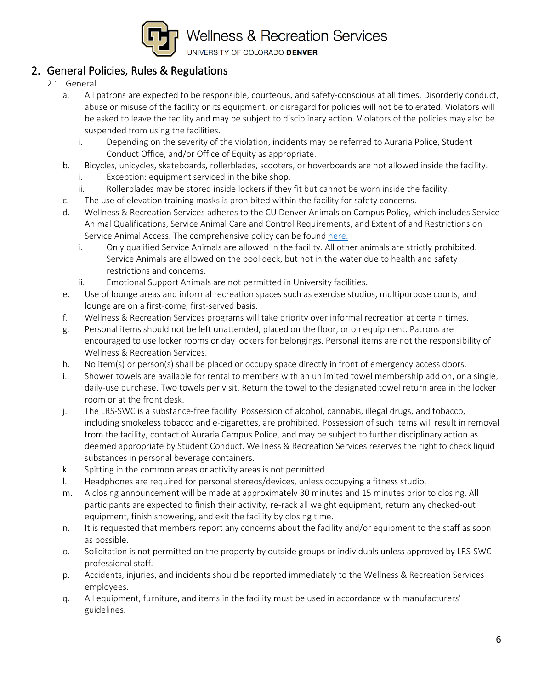

### 2. General Policies, Rules & Regulations

- 2.1. General
	- a. All patrons are expected to be responsible, courteous, and safety-conscious at all times. Disorderly conduct, abuse or misuse of the facility or its equipment, or disregard for policies will not be tolerated. Violators will be asked to leave the facility and may be subject to disciplinary action. Violators of the policies may also be suspended from using the facilities.
		- i. Depending on the severity of the violation, incidents may be referred to Auraria Police, Student Conduct Office, and/or Office of Equity as appropriate.
	- b. Bicycles, unicycles, skateboards, rollerblades, scooters, or hoverboards are not allowed inside the facility.
		- i. Exception: equipment serviced in the bike shop.
		- ii. Rollerblades may be stored inside lockers if they fit but cannot be worn inside the facility.
	- c. The use of elevation training masks is prohibited within the facility for safety concerns.
	- d. Wellness & Recreation Services adheres to the CU Denver Animals on Campus Policy, which includes Service Animal Qualifications, Service Animal Care and Control Requirements, and Extent of and Restrictions on Service Animal Access. The comprehensive policy can be found [here.](http://equity.ucdenver.edu/wp-content/uploads/2017/02/Service-Animal-Policy-FINAL-DRAFT-2016-11-30.pdf) 
		- i. Only qualified Service Animals are allowed in the facility. All other animals are strictly prohibited. Service Animals are allowed on the pool deck, but not in the water due to health and safety restrictions and concerns.
		- ii. Emotional Support Animals are not permitted in University facilities.
	- e. Use of lounge areas and informal recreation spaces such as exercise studios, multipurpose courts, and lounge are on a first-come, first-served basis.
	- f. Wellness & Recreation Services programs will take priority over informal recreation at certain times.
	- g. Personal items should not be left unattended, placed on the floor, or on equipment. Patrons are encouraged to use locker rooms or day lockers for belongings. Personal items are not the responsibility of Wellness & Recreation Services.
	- h. No item(s) or person(s) shall be placed or occupy space directly in front of emergency access doors.
	- i. Shower towels are available for rental to members with an unlimited towel membership add on, or a single, daily-use purchase. Two towels per visit. Return the towel to the designated towel return area in the locker room or at the front desk.
	- j. The LRS-SWC is a substance-free facility. Possession of alcohol, cannabis, illegal drugs, and tobacco, including smokeless tobacco and e-cigarettes, are prohibited. Possession of such items will result in removal from the facility, contact of Auraria Campus Police, and may be subject to further disciplinary action as deemed appropriate by Student Conduct. Wellness & Recreation Services reserves the right to check liquid substances in personal beverage containers.
	- k. Spitting in the common areas or activity areas is not permitted.
	- l. Headphones are required for personal stereos/devices, unless occupying a fitness studio.
	- m. A closing announcement will be made at approximately 30 minutes and 15 minutes prior to closing. All participants are expected to finish their activity, re-rack all weight equipment, return any checked-out equipment, finish showering, and exit the facility by closing time.
	- n. It is requested that members report any concerns about the facility and/or equipment to the staff as soon as possible.
	- o. Solicitation is not permitted on the property by outside groups or individuals unless approved by LRS-SWC professional staff.
	- p. Accidents, injuries, and incidents should be reported immediately to the Wellness & Recreation Services employees.
	- q. All equipment, furniture, and items in the facility must be used in accordance with manufacturers' guidelines.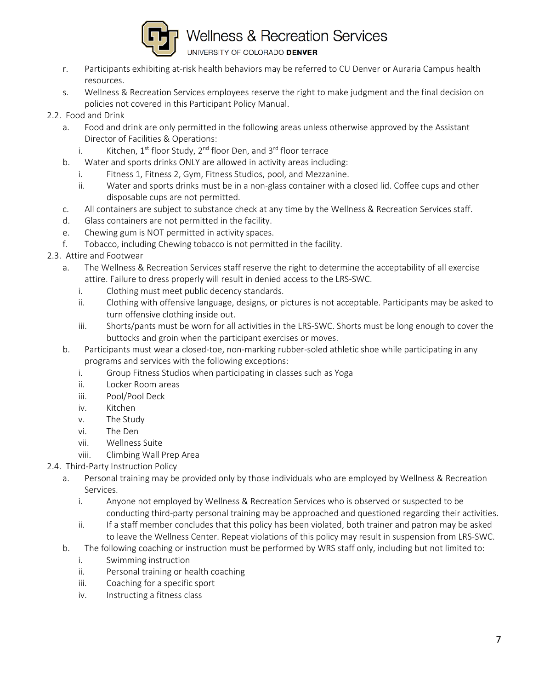

- r. Participants exhibiting at-risk health behaviors may be referred to CU Denver or Auraria Campus health resources.
- s. Wellness & Recreation Services employees reserve the right to make judgment and the final decision on policies not covered in this Participant Policy Manual.
- 2.2. Food and Drink
	- a. Food and drink are only permitted in the following areas unless otherwise approved by the Assistant Director of Facilities & Operations:
		- i. Kitchen,  $1^{st}$  floor Study,  $2^{nd}$  floor Den, and  $3^{rd}$  floor terrace
	- b. Water and sports drinks ONLY are allowed in activity areas including:
		- i. Fitness 1, Fitness 2, Gym, Fitness Studios, pool, and Mezzanine.
		- ii. Water and sports drinks must be in a non-glass container with a closed lid. Coffee cups and other disposable cups are not permitted.
	- c. All containers are subject to substance check at any time by the Wellness & Recreation Services staff.
	- d. Glass containers are not permitted in the facility.
	- e. Chewing gum is NOT permitted in activity spaces.
	- f. Tobacco, including Chewing tobacco is not permitted in the facility.
- 2.3. Attire and Footwear
	- a. The Wellness & Recreation Services staff reserve the right to determine the acceptability of all exercise attire. Failure to dress properly will result in denied access to the LRS-SWC.
		- i. Clothing must meet public decency standards.
		- ii. Clothing with offensive language, designs, or pictures is not acceptable. Participants may be asked to turn offensive clothing inside out.
		- iii. Shorts/pants must be worn for all activities in the LRS-SWC. Shorts must be long enough to cover the buttocks and groin when the participant exercises or moves.
	- b. Participants must wear a closed-toe, non-marking rubber-soled athletic shoe while participating in any programs and services with the following exceptions:
		- i. Group Fitness Studios when participating in classes such as Yoga
		- ii. Locker Room areas
		- iii. Pool/Pool Deck
		- iv. Kitchen
		- v. The Study
		- vi. The Den
		- vii. Wellness Suite
		- viii. Climbing Wall Prep Area
- 2.4. Third-Party Instruction Policy
	- a. Personal training may be provided only by those individuals who are employed by Wellness & Recreation Services.
		- i. Anyone not employed by Wellness & Recreation Services who is observed or suspected to be conducting third-party personal training may be approached and questioned regarding their activities.
		- ii. If a staff member concludes that this policy has been violated, both trainer and patron may be asked to leave the Wellness Center. Repeat violations of this policy may result in suspension from LRS-SWC.
	- b. The following coaching or instruction must be performed by WRS staff only, including but not limited to:
		- i. Swimming instruction
		- ii. Personal training or health coaching
		- iii. Coaching for a specific sport
		- iv. Instructing a fitness class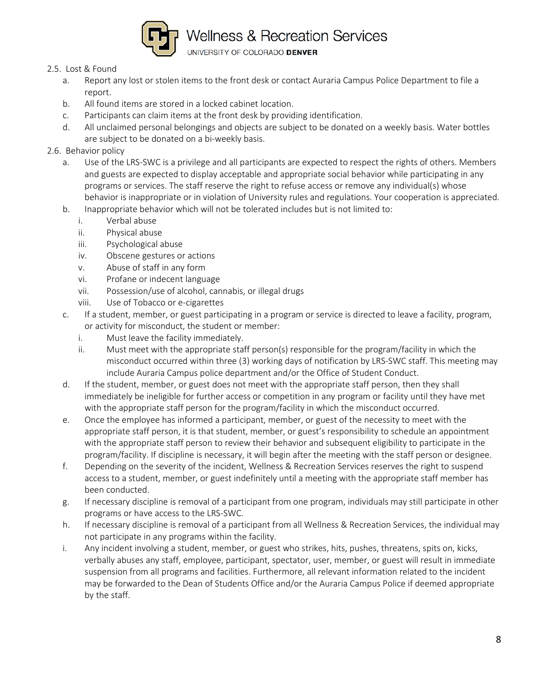

#### 2.5. Lost & Found

- a. Report any lost or stolen items to the front desk or contact Auraria Campus Police Department to file a report.
- b. All found items are stored in a locked cabinet location.
- c. Participants can claim items at the front desk by providing identification.
- d. All unclaimed personal belongings and objects are subject to be donated on a weekly basis. Water bottles are subject to be donated on a bi-weekly basis.

### 2.6. Behavior policy

- a. Use of the LRS-SWC is a privilege and all participants are expected to respect the rights of others. Members and guests are expected to display acceptable and appropriate social behavior while participating in any programs or services. The staff reserve the right to refuse access or remove any individual(s) whose behavior is inappropriate or in violation of University rules and regulations. Your cooperation is appreciated.
- b. Inappropriate behavior which will not be tolerated includes but is not limited to:
	- i. Verbal abuse
	- ii. Physical abuse
	- iii. Psychological abuse
	- iv. Obscene gestures or actions
	- v. Abuse of staff in any form
	- vi. Profane or indecent language
	- vii. Possession/use of alcohol, cannabis, or illegal drugs
	- viii. Use of Tobacco or e-cigarettes
- c. If a student, member, or guest participating in a program or service is directed to leave a facility, program, or activity for misconduct, the student or member:
	- i. Must leave the facility immediately.
	- ii. Must meet with the appropriate staff person(s) responsible for the program/facility in which the misconduct occurred within three (3) working days of notification by LRS-SWC staff. This meeting may include Auraria Campus police department and/or the Office of Student Conduct.
- d. If the student, member, or guest does not meet with the appropriate staff person, then they shall immediately be ineligible for further access or competition in any program or facility until they have met with the appropriate staff person for the program/facility in which the misconduct occurred.
- e. Once the employee has informed a participant, member, or guest of the necessity to meet with the appropriate staff person, it is that student, member, or guest's responsibility to schedule an appointment with the appropriate staff person to review their behavior and subsequent eligibility to participate in the program/facility. If discipline is necessary, it will begin after the meeting with the staff person or designee.
- f. Depending on the severity of the incident, Wellness & Recreation Services reserves the right to suspend access to a student, member, or guest indefinitely until a meeting with the appropriate staff member has been conducted.
- g. If necessary discipline is removal of a participant from one program, individuals may still participate in other programs or have access to the LRS-SWC.
- h. If necessary discipline is removal of a participant from all Wellness & Recreation Services, the individual may not participate in any programs within the facility.
- i. Any incident involving a student, member, or guest who strikes, hits, pushes, threatens, spits on, kicks, verbally abuses any staff, employee, participant, spectator, user, member, or guest will result in immediate suspension from all programs and facilities. Furthermore, all relevant information related to the incident may be forwarded to the Dean of Students Office and/or the Auraria Campus Police if deemed appropriate by the staff.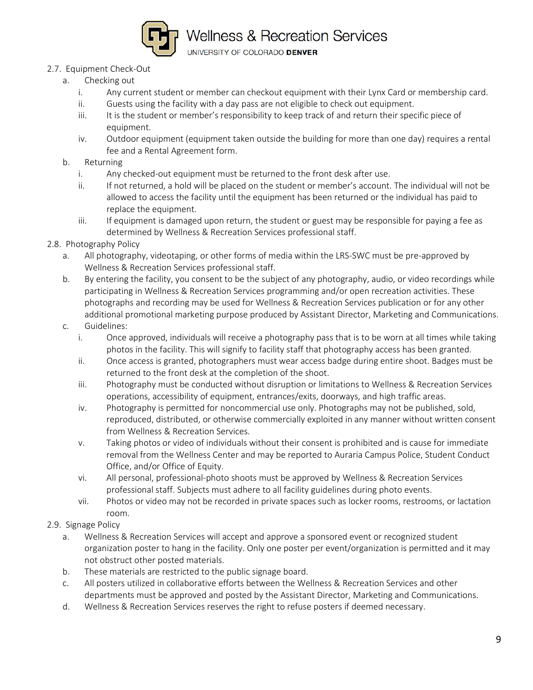

UNIVERSITY OF COLORADO DENVER

### 2.7. Equipment Check-Out

- a. Checking out
	- i. Any current student or member can checkout equipment with their Lynx Card or membership card.
	- ii. Guests using the facility with a day pass are not eligible to check out equipment.
	- iii. It is the student or member's responsibility to keep track of and return their specific piece of equipment.
	- iv. Outdoor equipment (equipment taken outside the building for more than one day) requires a rental fee and a Rental Agreement form.

#### b. Returning

- i. Any checked-out equipment must be returned to the front desk after use.
- ii. If not returned, a hold will be placed on the student or member's account. The individual will not be allowed to access the facility until the equipment has been returned or the individual has paid to replace the equipment.
- iii. If equipment is damaged upon return, the student or guest may be responsible for paying a fee as determined by Wellness & Recreation Services professional staff.

#### 2.8. Photography Policy

- a. All photography, videotaping, or other forms of media within the LRS-SWC must be pre-approved by Wellness & Recreation Services professional staff.
- b. By entering the facility, you consent to be the subject of any photography, audio, or video recordings while participating in Wellness & Recreation Services programming and/or open recreation activities. These photographs and recording may be used for Wellness & Recreation Services publication or for any other additional promotional marketing purpose produced by Assistant Director, Marketing and Communications.
- c. Guidelines:
	- i. Once approved, individuals will receive a photography pass that is to be worn at all times while taking photos in the facility. This will signify to facility staff that photography access has been granted.
	- ii. Once access is granted, photographers must wear access badge during entire shoot. Badges must be returned to the front desk at the completion of the shoot.
	- iii. Photography must be conducted without disruption or limitations to Wellness & Recreation Services operations, accessibility of equipment, entrances/exits, doorways, and high traffic areas.
	- iv. Photography is permitted for noncommercial use only. Photographs may not be published, sold, reproduced, distributed, or otherwise commercially exploited in any manner without written consent from Wellness & Recreation Services.
	- v. Taking photos or video of individuals without their consent is prohibited and is cause for immediate removal from the Wellness Center and may be reported to Auraria Campus Police, Student Conduct Office, and/or Office of Equity.
	- vi. All personal, professional-photo shoots must be approved by Wellness & Recreation Services professional staff. Subjects must adhere to all facility guidelines during photo events.
	- vii. Photos or video may not be recorded in private spaces such as locker rooms, restrooms, or lactation room.
- 2.9. Signage Policy
	- a. Wellness & Recreation Services will accept and approve a sponsored event or recognized student organization poster to hang in the facility. Only one poster per event/organization is permitted and it may not obstruct other posted materials.
	- b. These materials are restricted to the public signage board.
	- c. All posters utilized in collaborative efforts between the Wellness & Recreation Services and other departments must be approved and posted by the Assistant Director, Marketing and Communications.
	- d. Wellness & Recreation Services reserves the right to refuse posters if deemed necessary.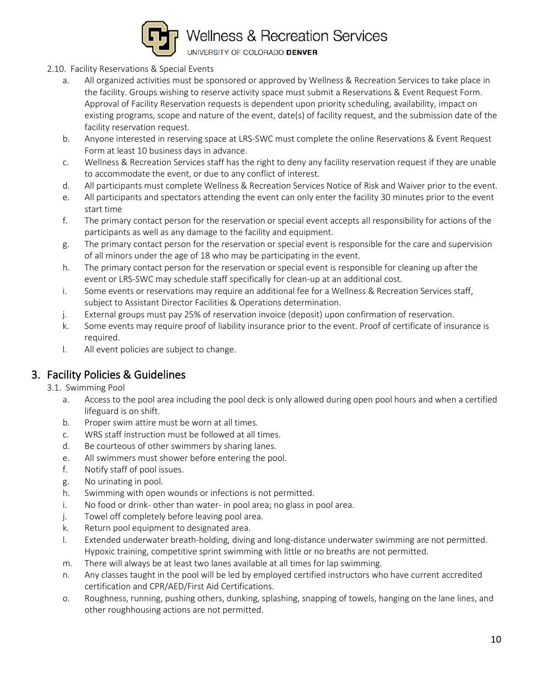

UNIVERSITY OF COLORADO DENVER

- 2.10. Facility Reservations & Special Events
	- a. All organized activities must be sponsored or approved by Wellness & Recreation Services to take place in the facility. Groups wishing to reserve activity space must submit a Reservations & Event Request Form. Approval of Facility Reservation requests is dependent upon priority scheduling, availability, impact on existing programs, scope and nature of the event, date(s) of facility request, and the submission date of the facility reservation request.
	- b. Anyone interested in reserving space at LRS-SWC must complete the online Reservations & Event Request Form at least 10 business days in advance.
	- c. Wellness & Recreation Services staff has the right to deny any facility reservation request if they are unable to accommodate the event, or due to any conflict of interest.
	- d. All participants must complete Wellness & Recreation Services Notice of Risk and Waiver prior to the event.
	- e. All participants and spectators attending the event can only enter the facility 30 minutes prior to the event start time
	- f. The primary contact person for the reservation or special event accepts all responsibility for actions of the participants as well as any damage to the facility and equipment.
	- g. The primary contact person for the reservation or special event is responsible for the care and supervision of all minors under the age of 18 who may be participating in the event.
	- h. The primary contact person for the reservation or special event is responsible for cleaning up after the event or LRS-SWC may schedule staff specifically for clean-up at an additional cost.
	- i. Some events or reservations may require an additional fee for a Wellness & Recreation Services staff, subject to Assistant Director Facilities & Operations determination.
	- j. External groups must pay 25% of reservation invoice (deposit) upon confirmation of reservation.
	- k. Some events may require proof of liability insurance prior to the event. Proof of certificate of insurance is required.
	- l. All event policies are subject to change.

### 3. Facility Policies & Guidelines

3.1. Swimming Pool

- a. Access to the pool area including the pool deck is only allowed during open pool hours and when a certified lifeguard is on shift.
- b. Proper swim attire must be worn at all times.
- c. WRS staff instruction must be followed at all times.
- d. Be courteous of other swimmers by sharing lanes.
- e. All swimmers must shower before entering the pool.
- f. Notify staff of pool issues.
- g. No urinating in pool.
- h. Swimming with open wounds or infections is not permitted.
- i. No food or drink- other than water- in pool area; no glass in pool area.
- j. Towel off completely before leaving pool area.
- k. Return pool equipment to designated area.
- l. Extended underwater breath-holding, diving and long-distance underwater swimming are not permitted. Hypoxic training, competitive sprint swimming with little or no breaths are not permitted.
- m. There will always be at least two lanes available at all times for lap swimming.
- n. Any classes taught in the pool will be led by employed certified instructors who have current accredited certification and CPR/AED/First Aid Certifications.
- o. Roughness, running, pushing others, dunking, splashing, snapping of towels, hanging on the lane lines, and other roughhousing actions are not permitted.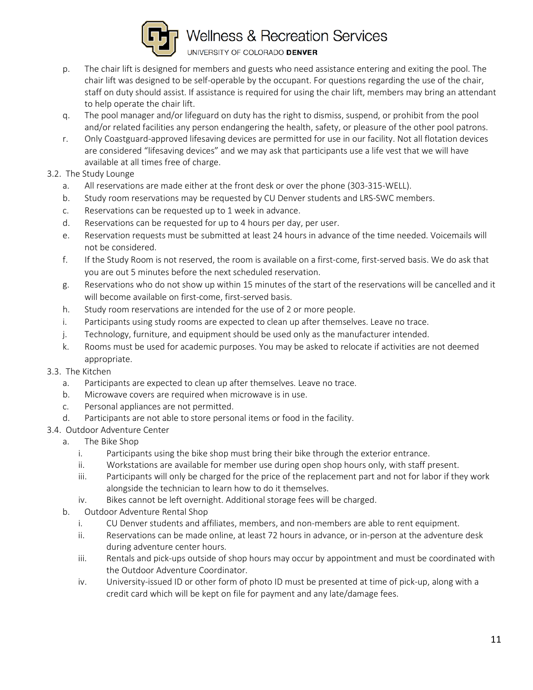

- p. The chair lift is designed for members and guests who need assistance entering and exiting the pool. The chair lift was designed to be self-operable by the occupant. For questions regarding the use of the chair, staff on duty should assist. If assistance is required for using the chair lift, members may bring an attendant to help operate the chair lift.
- q. The pool manager and/or lifeguard on duty has the right to dismiss, suspend, or prohibit from the pool and/or related facilities any person endangering the health, safety, or pleasure of the other pool patrons.
- r. Only Coastguard-approved lifesaving devices are permitted for use in our facility. Not all flotation devices are considered "lifesaving devices" and we may ask that participants use a life vest that we will have available at all times free of charge.
- 3.2. The Study Lounge
	- a. All reservations are made either at the front desk or over the phone (303-315-WELL).
	- b. Study room reservations may be requested by CU Denver students and LRS-SWC members.
	- c. Reservations can be requested up to 1 week in advance.
	- d. Reservations can be requested for up to 4 hours per day, per user.
	- e. Reservation requests must be submitted at least 24 hours in advance of the time needed. Voicemails will not be considered.
	- f. If the Study Room is not reserved, the room is available on a first-come, first-served basis. We do ask that you are out 5 minutes before the next scheduled reservation.
	- g. Reservations who do not show up within 15 minutes of the start of the reservations will be cancelled and it will become available on first-come, first-served basis.
	- h. Study room reservations are intended for the use of 2 or more people.
	- i. Participants using study rooms are expected to clean up after themselves. Leave no trace.
	- j. Technology, furniture, and equipment should be used only as the manufacturer intended.
	- k. Rooms must be used for academic purposes. You may be asked to relocate if activities are not deemed appropriate.
- 3.3. The Kitchen
	- a. Participants are expected to clean up after themselves. Leave no trace.
	- b. Microwave covers are required when microwave is in use.
	- c. Personal appliances are not permitted.
	- d. Participants are not able to store personal items or food in the facility.
- 3.4. Outdoor Adventure Center
	- a. The Bike Shop
		- i. Participants using the bike shop must bring their bike through the exterior entrance.
		- ii. Workstations are available for member use during open shop hours only, with staff present.
		- iii. Participants will only be charged for the price of the replacement part and not for labor if they work alongside the technician to learn how to do it themselves.
		- iv. Bikes cannot be left overnight. Additional storage fees will be charged.
	- b. Outdoor Adventure Rental Shop
		- i. CU Denver students and affiliates, members, and non-members are able to rent equipment.
		- ii. Reservations can be made online, at least 72 hours in advance, or in-person at the adventure desk during adventure center hours.
		- iii. Rentals and pick-ups outside of shop hours may occur by appointment and must be coordinated with the Outdoor Adventure Coordinator.
		- iv. University-issued ID or other form of photo ID must be presented at time of pick-up, along with a credit card which will be kept on file for payment and any late/damage fees.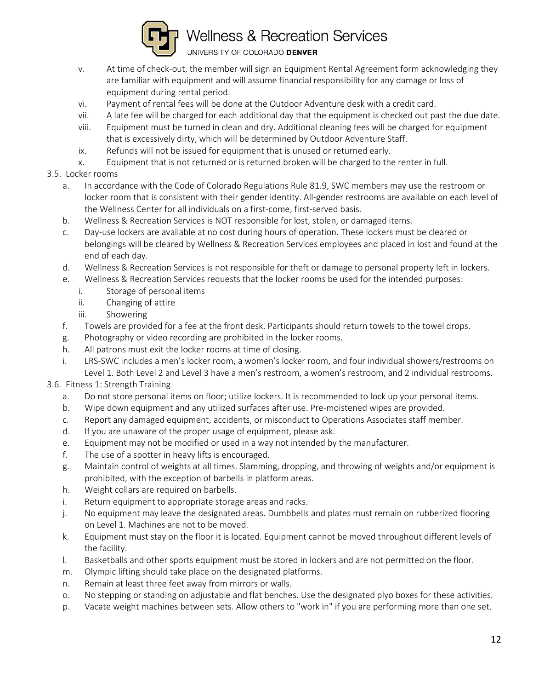

- v. At time of check-out, the member will sign an Equipment Rental Agreement form acknowledging they are familiar with equipment and will assume financial responsibility for any damage or loss of equipment during rental period.
- vi. Payment of rental fees will be done at the Outdoor Adventure desk with a credit card.
- vii. A late fee will be charged for each additional day that the equipment is checked out past the due date.
- viii. Equipment must be turned in clean and dry. Additional cleaning fees will be charged for equipment that is excessively dirty, which will be determined by Outdoor Adventure Staff.
- ix. Refunds will not be issued for equipment that is unused or returned early.
- x. Equipment that is not returned or is returned broken will be charged to the renter in full.
- 3.5. Locker rooms
	- a. In accordance with the Code of Colorado Regulations Rule 81.9, SWC members may use the restroom or locker room that is consistent with their gender identity. All-gender restrooms are available on each level of the Wellness Center for all individuals on a first-come, first-served basis.
	- b. Wellness & Recreation Services is NOT responsible for lost, stolen, or damaged items.
	- c. Day-use lockers are available at no cost during hours of operation. These lockers must be cleared or belongings will be cleared by Wellness & Recreation Services employees and placed in lost and found at the end of each day.
	- d. Wellness & Recreation Services is not responsible for theft or damage to personal property left in lockers.
	- e. Wellness & Recreation Services requests that the locker rooms be used for the intended purposes:
		- i. Storage of personal items
		- ii. Changing of attire
		- iii. Showering
	- f. Towels are provided for a fee at the front desk. Participants should return towels to the towel drops.
	- g. Photography or video recording are prohibited in the locker rooms.
	- h. All patrons must exit the locker rooms at time of closing.
	- i. LRS-SWC includes a men's locker room, a women's locker room, and four individual showers/restrooms on Level 1. Both Level 2 and Level 3 have a men's restroom, a women's restroom, and 2 individual restrooms.
- 3.6. Fitness 1: Strength Training
	- a. Do not store personal items on floor; utilize lockers. It is recommended to lock up your personal items.
	- b. Wipe down equipment and any utilized surfaces after use. Pre-moistened wipes are provided.
	- c. Report any damaged equipment, accidents, or misconduct to Operations Associates staff member.
	- d. If you are unaware of the proper usage of equipment, please ask.
	- e. Equipment may not be modified or used in a way not intended by the manufacturer.
	- f. The use of a spotter in heavy lifts is encouraged.
	- g. Maintain control of weights at all times. Slamming, dropping, and throwing of weights and/or equipment is prohibited, with the exception of barbells in platform areas.
	- h. Weight collars are required on barbells.
	- i. Return equipment to appropriate storage areas and racks.
	- j. No equipment may leave the designated areas. Dumbbells and plates must remain on rubberized flooring on Level 1. Machines are not to be moved.
	- k. Equipment must stay on the floor it is located. Equipment cannot be moved throughout different levels of the facility.
	- l. Basketballs and other sports equipment must be stored in lockers and are not permitted on the floor.
	- m. Olympic lifting should take place on the designated platforms.
	- n. Remain at least three feet away from mirrors or walls.
	- o. No stepping or standing on adjustable and flat benches. Use the designated plyo boxes for these activities.
	- p. Vacate weight machines between sets. Allow others to "work in" if you are performing more than one set.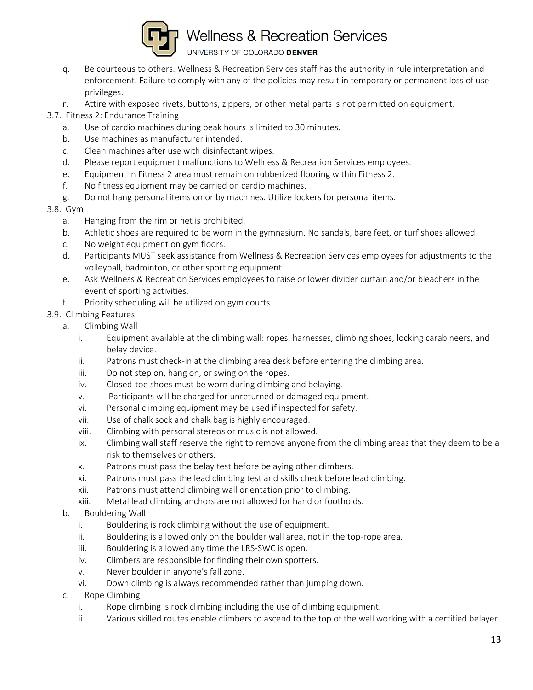

- q. Be courteous to others. Wellness & Recreation Services staff has the authority in rule interpretation and enforcement. Failure to comply with any of the policies may result in temporary or permanent loss of use privileges.
- r. Attire with exposed rivets, buttons, zippers, or other metal parts is not permitted on equipment.
- 3.7. Fitness 2: Endurance Training
	- a. Use of cardio machines during peak hours is limited to 30 minutes.
	- b. Use machines as manufacturer intended.
	- c. Clean machines after use with disinfectant wipes.
	- d. Please report equipment malfunctions to Wellness & Recreation Services employees.
	- e. Equipment in Fitness 2 area must remain on rubberized flooring within Fitness 2.
	- f. No fitness equipment may be carried on cardio machines.
	- g. Do not hang personal items on or by machines. Utilize lockers for personal items.
- 3.8. Gym
	- a. Hanging from the rim or net is prohibited.
	- b. Athletic shoes are required to be worn in the gymnasium. No sandals, bare feet, or turf shoes allowed.
	- c. No weight equipment on gym floors.
	- d. Participants MUST seek assistance from Wellness & Recreation Services employees for adjustments to the volleyball, badminton, or other sporting equipment.
	- e. Ask Wellness & Recreation Services employees to raise or lower divider curtain and/or bleachers in the event of sporting activities.
	- f. Priority scheduling will be utilized on gym courts.
- 3.9. Climbing Features
	- a. Climbing Wall
		- i. Equipment available at the climbing wall: ropes, harnesses, climbing shoes, locking carabineers, and belay device.
		- ii. Patrons must check-in at the climbing area desk before entering the climbing area.
		- iii. Do not step on, hang on, or swing on the ropes.
		- iv. Closed-toe shoes must be worn during climbing and belaying.
		- v. Participants will be charged for unreturned or damaged equipment.
		- vi. Personal climbing equipment may be used if inspected for safety.
		- vii. Use of chalk sock and chalk bag is highly encouraged.
		- viii. Climbing with personal stereos or music is not allowed.
		- ix. Climbing wall staff reserve the right to remove anyone from the climbing areas that they deem to be a risk to themselves or others.
		- x. Patrons must pass the belay test before belaying other climbers.
		- xi. Patrons must pass the lead climbing test and skills check before lead climbing.
		- xii. Patrons must attend climbing wall orientation prior to climbing.
		- xiii. Metal lead climbing anchors are not allowed for hand or footholds.
	- b. Bouldering Wall
		- i. Bouldering is rock climbing without the use of equipment.
		- ii. Bouldering is allowed only on the boulder wall area, not in the top-rope area.
		- iii. Bouldering is allowed any time the LRS-SWC is open.
		- iv. Climbers are responsible for finding their own spotters.
		- v. Never boulder in anyone's fall zone.
		- vi. Down climbing is always recommended rather than jumping down.
	- c. Rope Climbing
		- i. Rope climbing is rock climbing including the use of climbing equipment.
		- ii. Various skilled routes enable climbers to ascend to the top of the wall working with a certified belayer.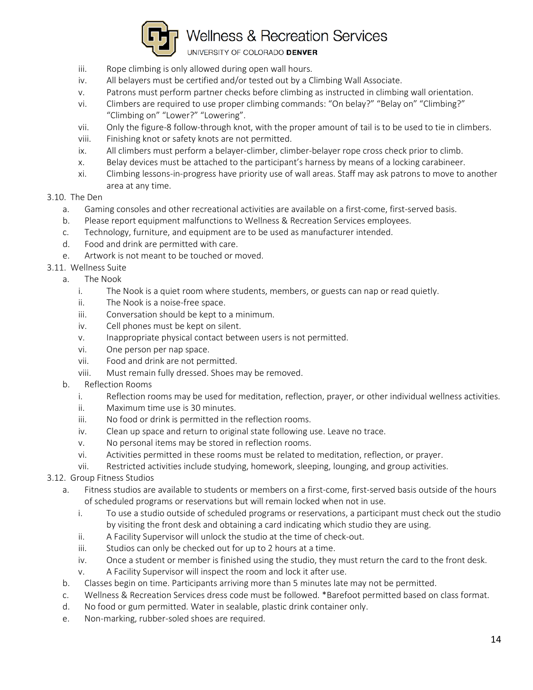

UNIVERSITY OF COLORADO DENVER

- iii. Rope climbing is only allowed during open wall hours.
- iv. All belayers must be certified and/or tested out by a Climbing Wall Associate.
- v. Patrons must perform partner checks before climbing as instructed in climbing wall orientation.
- vi. Climbers are required to use proper climbing commands: "On belay?" "Belay on" "Climbing?" "Climbing on" "Lower?" "Lowering".
- vii. Only the figure-8 follow-through knot, with the proper amount of tail is to be used to tie in climbers.
- viii. Finishing knot or safety knots are not permitted.
- ix. All climbers must perform a belayer-climber, climber-belayer rope cross check prior to climb.
- x. Belay devices must be attached to the participant's harness by means of a locking carabineer.
- xi. Climbing lessons-in-progress have priority use of wall areas. Staff may ask patrons to move to another area at any time.

#### 3.10. The Den

- a. Gaming consoles and other recreational activities are available on a first-come, first-served basis.
- b. Please report equipment malfunctions to Wellness & Recreation Services employees.
- c. Technology, furniture, and equipment are to be used as manufacturer intended.
- d. Food and drink are permitted with care.
- e. Artwork is not meant to be touched or moved.
- 3.11. Wellness Suite
	- a. The Nook
		- i. The Nook is a quiet room where students, members, or guests can nap or read quietly.
		- ii. The Nook is a noise-free space.
		- iii. Conversation should be kept to a minimum.
		- iv. Cell phones must be kept on silent.
		- v. Inappropriate physical contact between users is not permitted.
		- vi. One person per nap space.
		- vii. Food and drink are not permitted.
		- viii. Must remain fully dressed. Shoes may be removed.
		- b. Reflection Rooms
			- i. Reflection rooms may be used for meditation, reflection, prayer, or other individual wellness activities.
			- ii. Maximum time use is 30 minutes.
			- iii. No food or drink is permitted in the reflection rooms.
			- iv. Clean up space and return to original state following use. Leave no trace.
			- v. No personal items may be stored in reflection rooms.
			- vi. Activities permitted in these rooms must be related to meditation, reflection, or prayer.
			- vii. Restricted activities include studying, homework, sleeping, lounging, and group activities.
- 3.12. Group Fitness Studios
	- a. Fitness studios are available to students or members on a first-come, first-served basis outside of the hours of scheduled programs or reservations but will remain locked when not in use.
		- i. To use a studio outside of scheduled programs or reservations, a participant must check out the studio by visiting the front desk and obtaining a card indicating which studio they are using.
		- ii. A Facility Supervisor will unlock the studio at the time of check-out.
		- iii. Studios can only be checked out for up to 2 hours at a time.
		- iv. Once a student or member is finished using the studio, they must return the card to the front desk.
		- v. A Facility Supervisor will inspect the room and lock it after use.
	- b. Classes begin on time. Participants arriving more than 5 minutes late may not be permitted.
	- c. Wellness & Recreation Services dress code must be followed. \*Barefoot permitted based on class format.
	- d. No food or gum permitted. Water in sealable, plastic drink container only.
	- e. Non-marking, rubber-soled shoes are required.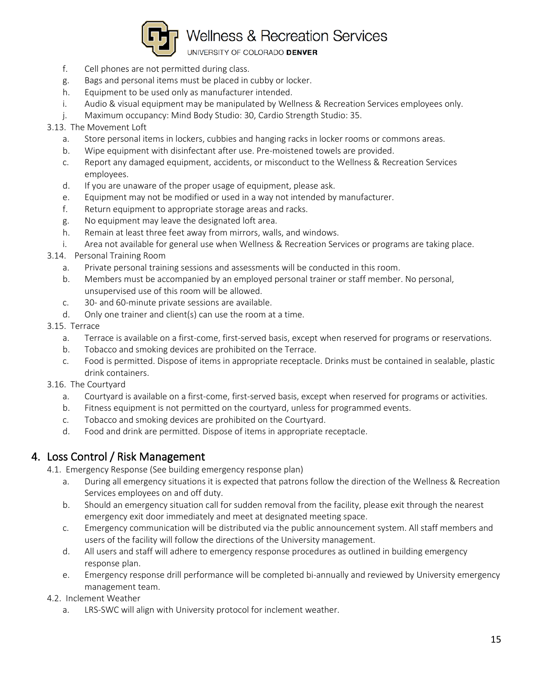

UNIVERSITY OF COLORADO DENVER

- f. Cell phones are not permitted during class.
- g. Bags and personal items must be placed in cubby or locker.
- h. Equipment to be used only as manufacturer intended.
- i. Audio & visual equipment may be manipulated by Wellness & Recreation Services employees only.
- j. Maximum occupancy: Mind Body Studio: 30, Cardio Strength Studio: 35.
- 3.13. The Movement Loft
	- a. Store personal items in lockers, cubbies and hanging racks in locker rooms or commons areas.
	- b. Wipe equipment with disinfectant after use. Pre-moistened towels are provided.
	- c. Report any damaged equipment, accidents, or misconduct to the Wellness & Recreation Services employees.
	- d. If you are unaware of the proper usage of equipment, please ask.
	- e. Equipment may not be modified or used in a way not intended by manufacturer.
	- f. Return equipment to appropriate storage areas and racks.
	- g. No equipment may leave the designated loft area.
	- h. Remain at least three feet away from mirrors, walls, and windows.
	- i. Area not available for general use when Wellness & Recreation Services or programs are taking place.
- 3.14. Personal Training Room
	- a. Private personal training sessions and assessments will be conducted in this room.
	- b. Members must be accompanied by an employed personal trainer or staff member. No personal, unsupervised use of this room will be allowed.
	- c. 30- and 60-minute private sessions are available.
	- d. Only one trainer and client(s) can use the room at a time.
- 3.15. Terrace
	- a. Terrace is available on a first-come, first-served basis, except when reserved for programs or reservations.
	- b. Tobacco and smoking devices are prohibited on the Terrace.
	- c. Food is permitted. Dispose of items in appropriate receptacle. Drinks must be contained in sealable, plastic drink containers.
- 3.16. The Courtyard
	- a. Courtyard is available on a first-come, first-served basis, except when reserved for programs or activities.
	- b. Fitness equipment is not permitted on the courtyard, unless for programmed events.
	- c. Tobacco and smoking devices are prohibited on the Courtyard.
	- d. Food and drink are permitted. Dispose of items in appropriate receptacle.

### 4. Loss Control / Risk Management

- 4.1. Emergency Response (See building emergency response plan)
	- a. During all emergency situations it is expected that patrons follow the direction of the Wellness & Recreation Services employees on and off duty.
	- b. Should an emergency situation call for sudden removal from the facility, please exit through the nearest emergency exit door immediately and meet at designated meeting space.
	- c. Emergency communication will be distributed via the public announcement system. All staff members and users of the facility will follow the directions of the University management.
	- d. All users and staff will adhere to emergency response procedures as outlined in building emergency response plan.
	- e. Emergency response drill performance will be completed bi-annually and reviewed by University emergency management team.
- 4.2. Inclement Weather
	- a. LRS-SWC will align with University protocol for inclement weather.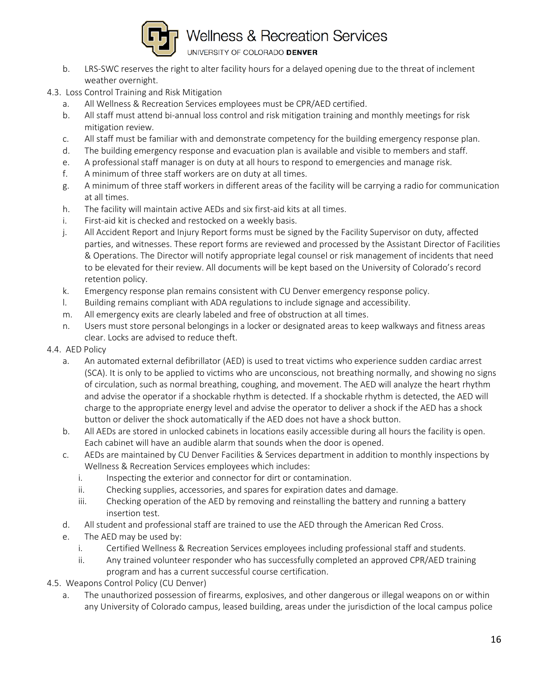

- b. LRS-SWC reserves the right to alter facility hours for a delayed opening due to the threat of inclement weather overnight.
- 4.3. Loss Control Training and Risk Mitigation
	- a. All Wellness & Recreation Services employees must be CPR/AED certified.
	- b. All staff must attend bi-annual loss control and risk mitigation training and monthly meetings for risk mitigation review.
	- c. All staff must be familiar with and demonstrate competency for the building emergency response plan.
	- d. The building emergency response and evacuation plan is available and visible to members and staff.
	- e. A professional staff manager is on duty at all hours to respond to emergencies and manage risk.
	- f. A minimum of three staff workers are on duty at all times.
	- g. A minimum of three staff workers in different areas of the facility will be carrying a radio for communication at all times.
	- h. The facility will maintain active AEDs and six first-aid kits at all times.
	- i. First-aid kit is checked and restocked on a weekly basis.
	- j. All Accident Report and Injury Report forms must be signed by the Facility Supervisor on duty, affected parties, and witnesses. These report forms are reviewed and processed by the Assistant Director of Facilities & Operations. The Director will notify appropriate legal counsel or risk management of incidents that need to be elevated for their review. All documents will be kept based on the University of Colorado's record retention policy.
	- k. Emergency response plan remains consistent with CU Denver emergency response policy.
	- l. Building remains compliant with ADA regulations to include signage and accessibility.
	- m. All emergency exits are clearly labeled and free of obstruction at all times.
	- n. Users must store personal belongings in a locker or designated areas to keep walkways and fitness areas clear. Locks are advised to reduce theft.
- 4.4. AED Policy
	- a. An automated external defibrillator (AED) is used to treat victims who experience sudden cardiac arrest (SCA). It is only to be applied to victims who are unconscious, not breathing normally, and showing no signs of circulation, such as normal breathing, coughing, and movement. The AED will analyze the heart rhythm and advise the operator if a shockable rhythm is detected. If a shockable rhythm is detected, the AED will charge to the appropriate energy level and advise the operator to deliver a shock if the AED has a shock button or deliver the shock automatically if the AED does not have a shock button.
	- b. All AEDs are stored in unlocked cabinets in locations easily accessible during all hours the facility is open. Each cabinet will have an audible alarm that sounds when the door is opened.
	- c. AEDs are maintained by CU Denver Facilities & Services department in addition to monthly inspections by Wellness & Recreation Services employees which includes:
		- i. Inspecting the exterior and connector for dirt or contamination.
		- ii. Checking supplies, accessories, and spares for expiration dates and damage.
		- iii. Checking operation of the AED by removing and reinstalling the battery and running a battery insertion test.
	- d. All student and professional staff are trained to use the AED through the American Red Cross.
	- e. The AED may be used by:
		- i. Certified Wellness & Recreation Services employees including professional staff and students.
		- ii. Any trained volunteer responder who has successfully completed an approved CPR/AED training program and has a current successful course certification.
- 4.5. Weapons Control Policy (CU Denver)
	- a. The unauthorized possession of firearms, explosives, and other dangerous or illegal weapons on or within any University of Colorado campus, leased building, areas under the jurisdiction of the local campus police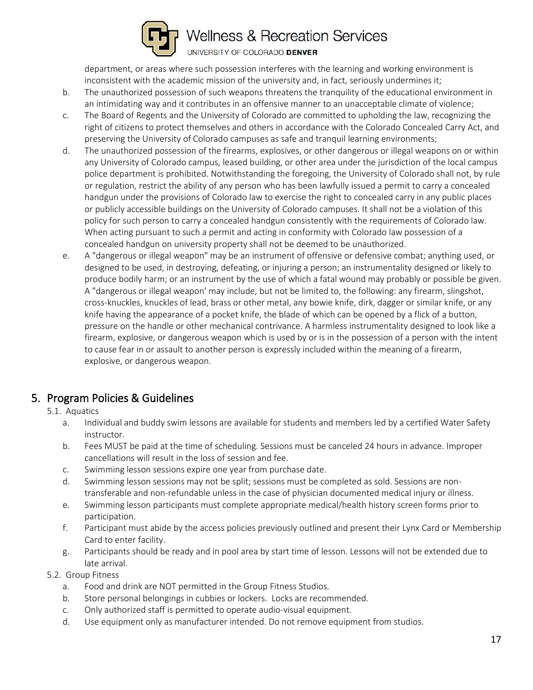

department, or areas where such possession interferes with the learning and working environment is inconsistent with the academic mission of the university and, in fact, seriously undermines it;

- b. The unauthorized possession of such weapons threatens the tranquility of the educational environment in an intimidating way and it contributes in an offensive manner to an unacceptable climate of violence;
- c. The Board of Regents and the University of Colorado are committed to upholding the law, recognizing the right of citizens to protect themselves and others in accordance with the Colorado Concealed Carry Act, and preserving the University of Colorado campuses as safe and tranquil learning environments;
- d. The unauthorized possession of the firearms, explosives, or other dangerous or illegal weapons on or within any University of Colorado campus, leased building, or other area under the jurisdiction of the local campus police department is prohibited. Notwithstanding the foregoing, the University of Colorado shall not, by rule or regulation, restrict the ability of any person who has been lawfully issued a permit to carry a concealed handgun under the provisions of Colorado law to exercise the right to concealed carry in any public places or publicly accessible buildings on the University of Colorado campuses. It shall not be a violation of this policy for such person to carry a concealed handgun consistently with the requirements of Colorado law. When acting pursuant to such a permit and acting in conformity with Colorado law possession of a concealed handgun on university property shall not be deemed to be unauthorized.
- e. A "dangerous or illegal weapon" may be an instrument of offensive or defensive combat; anything used, or designed to be used, in destroying, defeating, or injuring a person; an instrumentality designed or likely to produce bodily harm; or an instrument by the use of which a fatal wound may probably or possible be given. A "dangerous or illegal weapon' may include, but not be limited to, the following: any firearm, slingshot, cross-knuckles, knuckles of lead, brass or other metal, any bowie knife, dirk, dagger or similar knife, or any knife having the appearance of a pocket knife, the blade of which can be opened by a flick of a button, pressure on the handle or other mechanical contrivance. A harmless instrumentality designed to look like a firearm, explosive, or dangerous weapon which is used by or is in the possession of a person with the intent to cause fear in or assault to another person is expressly included within the meaning of a firearm, explosive, or dangerous weapon.

### 5. Program Policies & Guidelines

### 5.1. Aquatics

- a. Individual and buddy swim lessons are available for students and members led by a certified Water Safety instructor.
- b. Fees MUST be paid at the time of scheduling. Sessions must be canceled 24 hours in advance. Improper cancellations will result in the loss of session and fee.
- c. Swimming lesson sessions expire one year from purchase date.
- d. Swimming lesson sessions may not be split; sessions must be completed as sold. Sessions are nontransferable and non-refundable unless in the case of physician documented medical injury or illness.
- e. Swimming lesson participants must complete appropriate medical/health history screen forms prior to participation.
- f. Participant must abide by the access policies previously outlined and present their Lynx Card or Membership Card to enter facility.
- g. Participants should be ready and in pool area by start time of lesson. Lessons will not be extended due to late arrival.
- 5.2. Group Fitness
	- a. Food and drink are NOT permitted in the Group Fitness Studios.
	- b. Store personal belongings in cubbies or lockers. Locks are recommended.
	- c. Only authorized staff is permitted to operate audio-visual equipment.
	- d. Use equipment only as manufacturer intended. Do not remove equipment from studios.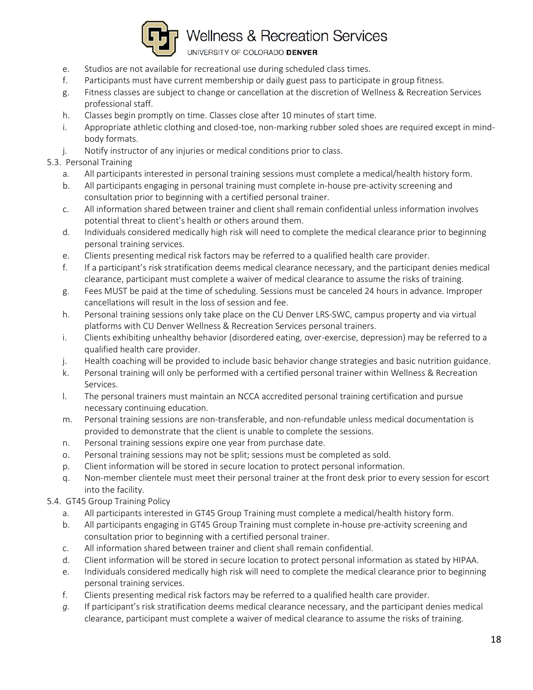

UNIVERSITY OF COLORADO DENVER

- e. Studios are not available for recreational use during scheduled class times.
- f. Participants must have current membership or daily guest pass to participate in group fitness.
- g. Fitness classes are subject to change or cancellation at the discretion of Wellness & Recreation Services professional staff.
- h. Classes begin promptly on time. Classes close after 10 minutes of start time.
- i. Appropriate athletic clothing and closed-toe, non-marking rubber soled shoes are required except in mindbody formats.
- j. Notify instructor of any injuries or medical conditions prior to class.

### 5.3. Personal Training

- a. All participants interested in personal training sessions must complete a medical/health history form.
- b. All participants engaging in personal training must complete in-house pre-activity screening and consultation prior to beginning with a certified personal trainer.
- c. All information shared between trainer and client shall remain confidential unless information involves potential threat to client's health or others around them.
- d. Individuals considered medically high risk will need to complete the medical clearance prior to beginning personal training services.
- e. Clients presenting medical risk factors may be referred to a qualified health care provider.
- f. If a participant's risk stratification deems medical clearance necessary, and the participant denies medical clearance, participant must complete a waiver of medical clearance to assume the risks of training.
- g. Fees MUST be paid at the time of scheduling. Sessions must be canceled 24 hours in advance. Improper cancellations will result in the loss of session and fee.
- h. Personal training sessions only take place on the CU Denver LRS-SWC, campus property and via virtual platforms with CU Denver Wellness & Recreation Services personal trainers.
- i. Clients exhibiting unhealthy behavior (disordered eating, over-exercise, depression) may be referred to a qualified health care provider.
- j. Health coaching will be provided to include basic behavior change strategies and basic nutrition guidance.
- k. Personal training will only be performed with a certified personal trainer within Wellness & Recreation Services.
- l. The personal trainers must maintain an NCCA accredited personal training certification and pursue necessary continuing education.
- m. Personal training sessions are non-transferable, and non-refundable unless medical documentation is provided to demonstrate that the client is unable to complete the sessions.
- n. Personal training sessions expire one year from purchase date.
- o. Personal training sessions may not be split; sessions must be completed as sold.
- p. Client information will be stored in secure location to protect personal information.
- q. Non-member clientele must meet their personal trainer at the front desk prior to every session for escort into the facility.

### 5.4. GT45 Group Training Policy

- a. All participants interested in GT45 Group Training must complete a medical/health history form.
- b. All participants engaging in GT45 Group Training must complete in-house pre-activity screening and consultation prior to beginning with a certified personal trainer.
- c. All information shared between trainer and client shall remain confidential.
- d. Client information will be stored in secure location to protect personal information as stated by HIPAA.
- e. Individuals considered medically high risk will need to complete the medical clearance prior to beginning personal training services.
- f. Clients presenting medical risk factors may be referred to a qualified health care provider.
- *g.* If participant's risk stratification deems medical clearance necessary, and the participant denies medical clearance, participant must complete a waiver of medical clearance to assume the risks of training.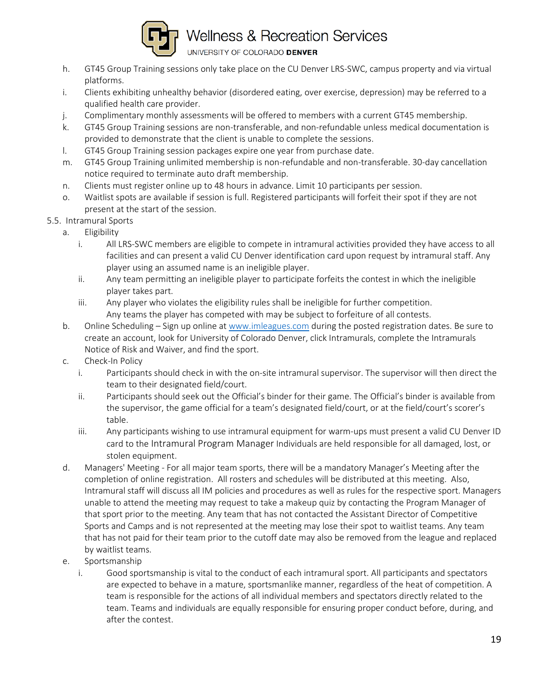

UNIVERSITY OF COLORADO DENVER

- h. GT45 Group Training sessions only take place on the CU Denver LRS-SWC, campus property and via virtual platforms.
- i. Clients exhibiting unhealthy behavior (disordered eating, over exercise, depression) may be referred to a qualified health care provider.
- j. Complimentary monthly assessments will be offered to members with a current GT45 membership.
- k. GT45 Group Training sessions are non-transferable, and non-refundable unless medical documentation is provided to demonstrate that the client is unable to complete the sessions.
- l. GT45 Group Training session packages expire one year from purchase date.
- m. GT45 Group Training unlimited membership is non-refundable and non-transferable. 30-day cancellation notice required to terminate auto draft membership.
- n. Clients must register online up to 48 hours in advance. Limit 10 participants per session.
- o. Waitlist spots are available if session is full. Registered participants will forfeit their spot if they are not present at the start of the session.

#### 5.5. Intramural Sports

- a. Eligibility
	- i. All LRS-SWC members are eligible to compete in intramural activities provided they have access to all facilities and can present a valid CU Denver identification card upon request by intramural staff. Any player using an assumed name is an ineligible player.
	- ii. Any team permitting an ineligible player to participate forfeits the contest in which the ineligible player takes part.
	- iii. Any player who violates the eligibility rules shall be ineligible for further competition. Any teams the player has competed with may be subject to forfeiture of all contests.
- b. Online Scheduling Sign up online at [www.imleagues.com](http://www.imleagues.com/) during the posted registration dates. Be sure to create an account, look for University of Colorado Denver, click Intramurals, complete the Intramurals Notice of Risk and Waiver, and find the sport.
- c. Check-In Policy
	- i. Participants should check in with the on-site intramural supervisor. The supervisor will then direct the team to their designated field/court.
	- ii. Participants should seek out the Official's binder for their game. The Official's binder is available from the supervisor, the game official for a team's designated field/court, or at the field/court's scorer's table.
	- iii. Any participants wishing to use intramural equipment for warm-ups must present a valid CU Denver ID card to the Intramural Program Manager Individuals are held responsible for all damaged, lost, or stolen equipment.
- d. Managers' Meeting For all major team sports, there will be a mandatory Manager's Meeting after the completion of online registration. All rosters and schedules will be distributed at this meeting. Also, Intramural staff will discuss all IM policies and procedures as well as rules for the respective sport. Managers unable to attend the meeting may request to take a makeup quiz by contacting the Program Manager of that sport prior to the meeting. Any team that has not contacted the Assistant Director of Competitive Sports and Camps and is not represented at the meeting may lose their spot to waitlist teams. Any team that has not paid for their team prior to the cutoff date may also be removed from the league and replaced by waitlist teams.
- e. Sportsmanship
	- i. Good sportsmanship is vital to the conduct of each intramural sport. All participants and spectators are expected to behave in a mature, sportsmanlike manner, regardless of the heat of competition. A team is responsible for the actions of all individual members and spectators directly related to the team. Teams and individuals are equally responsible for ensuring proper conduct before, during, and after the contest.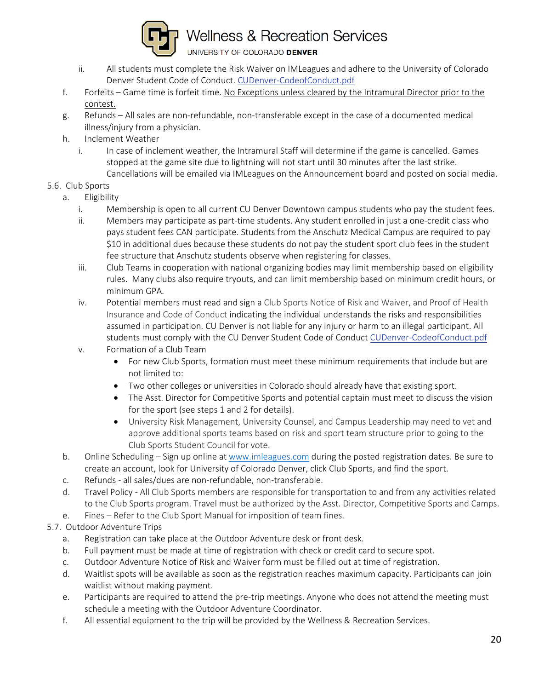

UNIVERSITY OF COLORADO DENVER

- ii. All students must complete the Risk Waiver on IMLeagues and adhere to the University of Colorado Denver Student Code of Conduct. [CUDenver-CodeofConduct.pdf](http://www.ucdenver.edu/life/services/standards/Documents/CUDenver-CodeofConduct.pdf)
- f. Forfeits Game time is forfeit time. No Exceptions unless cleared by the Intramural Director prior to the contest.
- g. Refunds All sales are non-refundable, non-transferable except in the case of a documented medical illness/injury from a physician.
- h. Inclement Weather
	- i. In case of inclement weather, the Intramural Staff will determine if the game is cancelled. Games stopped at the game site due to lightning will not start until 30 minutes after the last strike. Cancellations will be emailed via IMLeagues on the Announcement board and posted on social media.

### 5.6. Club Sports

- a. Eligibility
	- i. Membership is open to all current CU Denver Downtown campus students who pay the student fees.
	- ii. Members may participate as part-time students. Any student enrolled in just a one-credit class who pays student fees CAN participate. Students from the Anschutz Medical Campus are required to pay \$10 in additional dues because these students do not pay the student sport club fees in the student fee structure that Anschutz students observe when registering for classes.
	- iii. Club Teams in cooperation with national organizing bodies may limit membership based on eligibility rules. Many clubs also require tryouts, and can limit membership based on minimum credit hours, or minimum GPA.
	- iv. Potential members must read and sign a Club Sports Notice of Risk and Waiver, and Proof of Health Insurance and Code of Conduct indicating the individual understands the risks and responsibilities assumed in participation. CU Denver is not liable for any injury or harm to an illegal participant. All students must comply with the CU Denver Student Code of Conduct [CUDenver-CodeofConduct.pdf](http://www.ucdenver.edu/life/services/standards/Documents/CUDenver-CodeofConduct.pdf)
	- v. Formation of a Club Team
		- For new Club Sports, formation must meet these minimum requirements that include but are not limited to:
		- Two other colleges or universities in Colorado should already have that existing sport.
		- The Asst. Director for Competitive Sports and potential captain must meet to discuss the vision for the sport (see steps 1 and 2 for details).
		- University Risk Management, University Counsel, and Campus Leadership may need to vet and approve additional sports teams based on risk and sport team structure prior to going to the Club Sports Student Council for vote.
- b. Online Scheduling Sign up online at [www.imleagues.com](http://www.imleagues.com/) during the posted registration dates. Be sure to create an account, look for University of Colorado Denver, click Club Sports, and find the sport.
- c. Refunds all sales/dues are non-refundable, non-transferable.
- d. Travel Policy All Club Sports members are responsible for transportation to and from any activities related to the Club Sports program. Travel must be authorized by the Asst. Director, Competitive Sports and Camps.
- e. Fines Refer to the Club Sport Manual for imposition of team fines.
- 5.7. Outdoor Adventure Trips
	- a. Registration can take place at the Outdoor Adventure desk or front desk.
	- b. Full payment must be made at time of registration with check or credit card to secure spot.
	- c. Outdoor Adventure Notice of Risk and Waiver form must be filled out at time of registration.
	- d. Waitlist spots will be available as soon as the registration reaches maximum capacity. Participants can join waitlist without making payment.
	- e. Participants are required to attend the pre-trip meetings. Anyone who does not attend the meeting must schedule a meeting with the Outdoor Adventure Coordinator.
	- f. All essential equipment to the trip will be provided by the Wellness & Recreation Services.